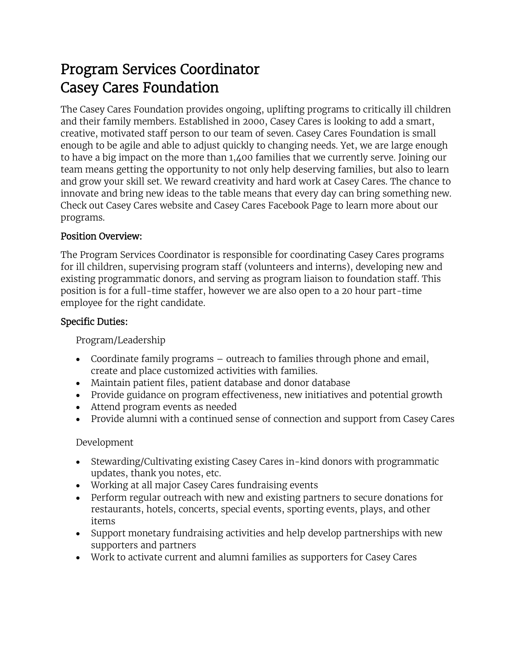# Program Services Coordinator Casey Cares Foundation

The Casey Cares Foundation provides ongoing, uplifting programs to critically ill children and their family members. Established in 2000, Casey Cares is looking to add a smart, creative, motivated staff person to our team of seven. Casey Cares Foundation is small enough to be agile and able to adjust quickly to changing needs. Yet, we are large enough to have a big impact on the more than 1,400 families that we currently serve. Joining our team means getting the opportunity to not only help deserving families, but also to learn and grow your skill set. We reward creativity and hard work at Casey Cares. The chance to innovate and bring new ideas to the table means that every day can bring something new. Check out Casey Cares website and Casey Cares Facebook Page to learn more about our programs.

## Position Overview:

The Program Services Coordinator is responsible for coordinating Casey Cares programs for ill children, supervising program staff (volunteers and interns), developing new and existing programmatic donors, and serving as program liaison to foundation staff. This position is for a full-time staffer, however we are also open to a 20 hour part-time employee for the right candidate.

## Specific Duties:

Program/Leadership

- Coordinate family programs outreach to families through phone and email, create and place customized activities with families.
- Maintain patient files, patient database and donor database
- Provide guidance on program effectiveness, new initiatives and potential growth
- Attend program events as needed
- Provide alumni with a continued sense of connection and support from Casey Cares

# Development

- Stewarding/Cultivating existing Casey Cares in-kind donors with programmatic updates, thank you notes, etc.
- Working at all major Casey Cares fundraising events
- Perform regular outreach with new and existing partners to secure donations for restaurants, hotels, concerts, special events, sporting events, plays, and other items
- Support monetary fundraising activities and help develop partnerships with new supporters and partners
- Work to activate current and alumni families as supporters for Casey Cares